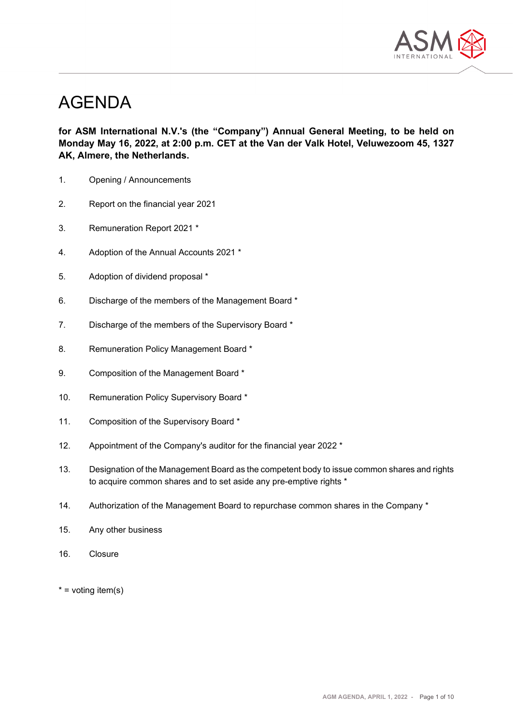

# AGENDA

**for ASM International N.V.'s (the "Company") Annual General Meeting, to be held on Monday May 16, 2022, at 2:00 p.m. CET at the Van der Valk Hotel, Veluwezoom 45, 1327 AK, Almere, the Netherlands.**

- 1. Opening / Announcements
- 2. Report on the financial year 2021
- 3. Remuneration Report 2021 \*
- 4. Adoption of the Annual Accounts 2021 \*
- 5. Adoption of dividend proposal \*
- 6. Discharge of the members of the Management Board \*
- 7. Discharge of the members of the Supervisory Board \*
- 8. Remuneration Policy Management Board \*
- 9. Composition of the Management Board \*
- 10. Remuneration Policy Supervisory Board \*
- 11. Composition of the Supervisory Board \*
- 12. Appointment of the Company's auditor for the financial year 2022 \*
- 13. Designation of the Management Board as the competent body to issue common shares and rights to acquire common shares and to set aside any pre-emptive rights \*
- 14. Authorization of the Management Board to repurchase common shares in the Company \*
- 15. Any other business
- 16. Closure
- $*$  = voting item(s)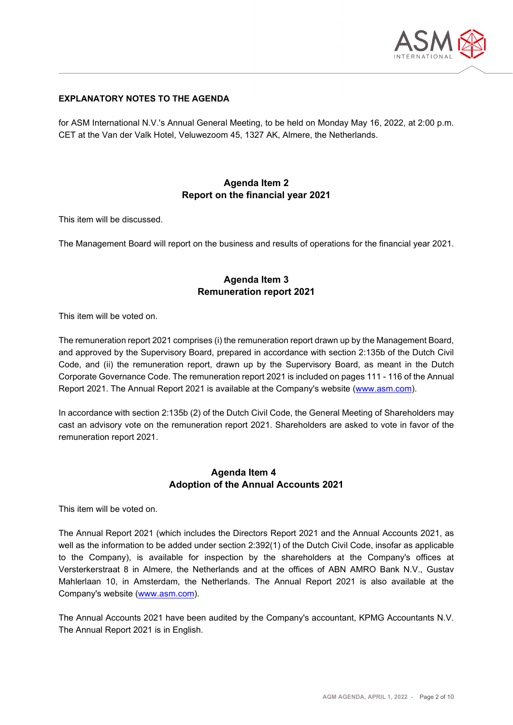

#### **EXPLANATORY NOTES TO THE AGENDA**

for ASM International N.V.'s Annual General Meeting, to be held on Monday May 16, 2022, at 2:00 p.m. CET at the Van der Valk Hotel, Veluwezoom 45, 1327 AK, Almere, the Netherlands.

## **Agenda Item 2 Report on the financial year 2021**

This item will be discussed.

The Management Board will report on the business and results of operations for the financial year 2021.

#### **Agenda Item 3 Remuneration report 2021**

This item will be voted on.

The remuneration report 2021 comprises (i) the remuneration report drawn up by the Management Board, and approved by the Supervisory Board, prepared in accordance with section 2:135b of the Dutch Civil Code, and (ii) the remuneration report, drawn up by the Supervisory Board, as meant in the Dutch Corporate Governance Code. The remuneration report 2021 is included on pages 111 - 116 of the Annual Report 2021. The Annual Report 2021 is available at the Company's website [\(www.asm.com\)](http://www.asm.com/).

In accordance with section 2:135b (2) of the Dutch Civil Code, the General Meeting of Shareholders may cast an advisory vote on the remuneration report 2021. Shareholders are asked to vote in favor of the remuneration report 2021.

#### **Agenda Item 4 Adoption of the Annual Accounts 2021**

This item will be voted on.

The Annual Report 2021 (which includes the Directors Report 2021 and the Annual Accounts 2021, as well as the information to be added under section 2:392(1) of the Dutch Civil Code, insofar as applicable to the Company), is available for inspection by the shareholders at the Company's offices at Versterkerstraat 8 in Almere, the Netherlands and at the offices of ABN AMRO Bank N.V., Gustav Mahlerlaan 10, in Amsterdam, the Netherlands. The Annual Report 2021 is also available at the Company's website [\(www.asm.com\)](http://www.asm.com/).

The Annual Accounts 2021 have been audited by the Company's accountant, KPMG Accountants N.V. The Annual Report 2021 is in English.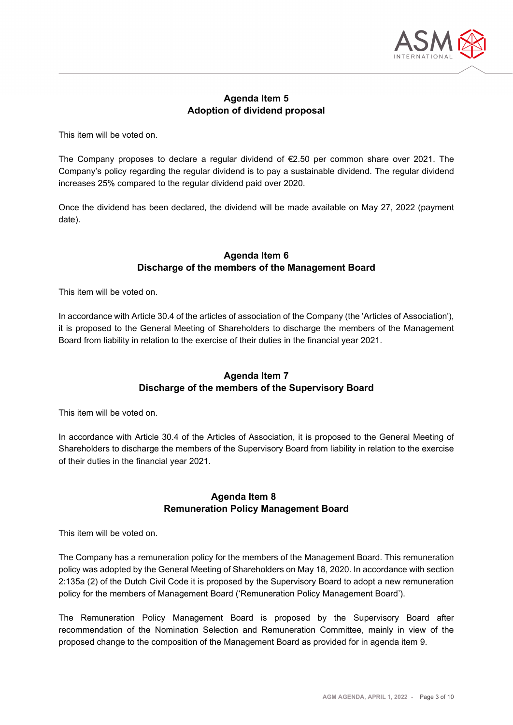

## **Agenda Item 5 Adoption of dividend proposal**

This item will be voted on.

The Company proposes to declare a regular dividend of €2.50 per common share over 2021. The Company's policy regarding the regular dividend is to pay a sustainable dividend. The regular dividend increases 25% compared to the regular dividend paid over 2020.

Once the dividend has been declared, the dividend will be made available on May 27, 2022 (payment date).

## **Agenda Item 6 Discharge of the members of the Management Board**

This item will be voted on.

In accordance with Article 30.4 of the articles of association of the Company (the 'Articles of Association'), it is proposed to the General Meeting of Shareholders to discharge the members of the Management Board from liability in relation to the exercise of their duties in the financial year 2021.

# **Agenda Item 7 Discharge of the members of the Supervisory Board**

This item will be voted on.

In accordance with Article 30.4 of the Articles of Association, it is proposed to the General Meeting of Shareholders to discharge the members of the Supervisory Board from liability in relation to the exercise of their duties in the financial year 2021.

## **Agenda Item 8 Remuneration Policy Management Board**

This item will be voted on.

The Company has a remuneration policy for the members of the Management Board. This remuneration policy was adopted by the General Meeting of Shareholders on May 18, 2020. In accordance with section 2:135a (2) of the Dutch Civil Code it is proposed by the Supervisory Board to adopt a new remuneration policy for the members of Management Board ('Remuneration Policy Management Board').

The Remuneration Policy Management Board is proposed by the Supervisory Board after recommendation of the Nomination Selection and Remuneration Committee, mainly in view of the proposed change to the composition of the Management Board as provided for in agenda item 9.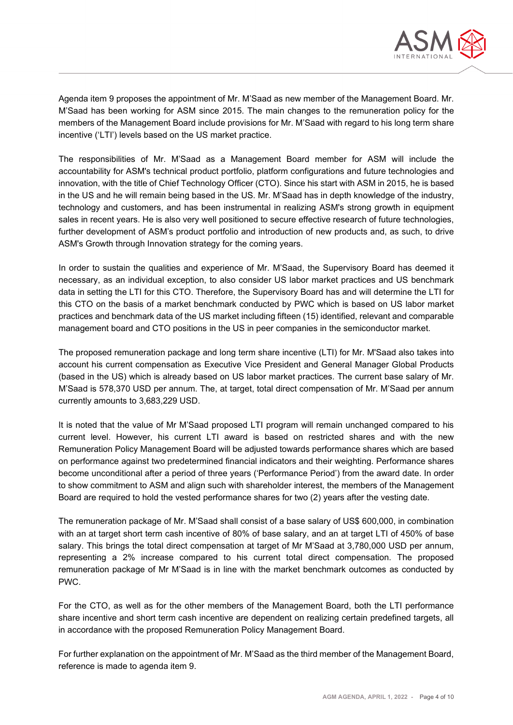

Agenda item 9 proposes the appointment of Mr. M'Saad as new member of the Management Board. Mr. M'Saad has been working for ASM since 2015. The main changes to the remuneration policy for the members of the Management Board include provisions for Mr. M'Saad with regard to his long term share incentive ('LTI') levels based on the US market practice.

The responsibilities of Mr. M'Saad as a Management Board member for ASM will include the accountability for ASM's technical product portfolio, platform configurations and future technologies and innovation, with the title of Chief Technology Officer (CTO). Since his start with ASM in 2015, he is based in the US and he will remain being based in the US. Mr. M'Saad has in depth knowledge of the industry, technology and customers, and has been instrumental in realizing ASM's strong growth in equipment sales in recent years. He is also very well positioned to secure effective research of future technologies, further development of ASM's product portfolio and introduction of new products and, as such, to drive ASM's Growth through Innovation strategy for the coming years.

In order to sustain the qualities and experience of Mr. M'Saad, the Supervisory Board has deemed it necessary, as an individual exception, to also consider US labor market practices and US benchmark data in setting the LTI for this CTO. Therefore, the Supervisory Board has and will determine the LTI for this CTO on the basis of a market benchmark conducted by PWC which is based on US labor market practices and benchmark data of the US market including fifteen (15) identified, relevant and comparable management board and CTO positions in the US in peer companies in the semiconductor market.

The proposed remuneration package and long term share incentive (LTI) for Mr. M'Saad also takes into account his current compensation as Executive Vice President and General Manager Global Products (based in the US) which is already based on US labor market practices. The current base salary of Mr. M'Saad is 578,370 USD per annum. The, at target, total direct compensation of Mr. M'Saad per annum currently amounts to 3,683,229 USD.

It is noted that the value of Mr M'Saad proposed LTI program will remain unchanged compared to his current level. However, his current LTI award is based on restricted shares and with the new Remuneration Policy Management Board will be adjusted towards performance shares which are based on performance against two predetermined financial indicators and their weighting. Performance shares become unconditional after a period of three years ('Performance Period') from the award date. In order to show commitment to ASM and align such with shareholder interest, the members of the Management Board are required to hold the vested performance shares for two (2) years after the vesting date.

The remuneration package of Mr. M'Saad shall consist of a base salary of US\$ 600,000, in combination with an at target short term cash incentive of 80% of base salary, and an at target LTI of 450% of base salary. This brings the total direct compensation at target of Mr M'Saad at 3,780,000 USD per annum, representing a 2% increase compared to his current total direct compensation. The proposed remuneration package of Mr M'Saad is in line with the market benchmark outcomes as conducted by PWC.

For the CTO, as well as for the other members of the Management Board, both the LTI performance share incentive and short term cash incentive are dependent on realizing certain predefined targets, all in accordance with the proposed Remuneration Policy Management Board.

For further explanation on the appointment of Mr. M'Saad as the third member of the Management Board, reference is made to agenda item 9.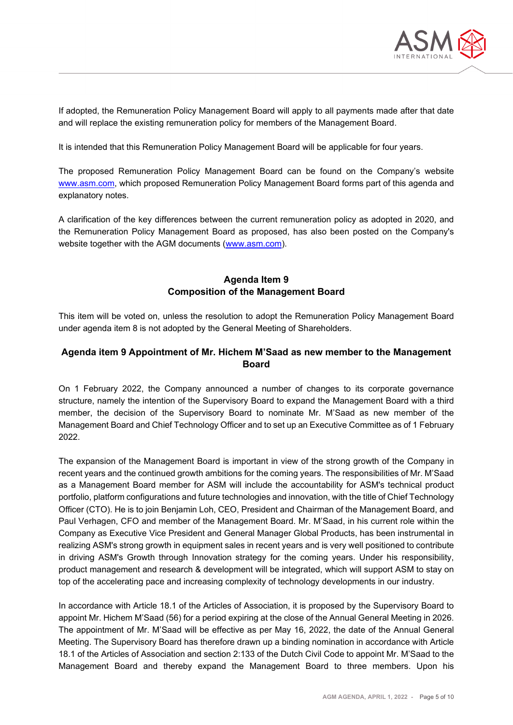

If adopted, the Remuneration Policy Management Board will apply to all payments made after that date and will replace the existing remuneration policy for members of the Management Board.

It is intended that this Remuneration Policy Management Board will be applicable for four years.

The proposed Remuneration Policy Management Board can be found on the Company's website [www.asm.com,](http://www.asm.com/) which proposed Remuneration Policy Management Board forms part of this agenda and explanatory notes.

A clarification of the key differences between the current remuneration policy as adopted in 2020, and the Remuneration Policy Management Board as proposed, has also been posted on the Company's website together with the AGM documents [\(www.asm.com\)](http://www.asm.com/).

## **Agenda Item 9 Composition of the Management Board**

This item will be voted on, unless the resolution to adopt the Remuneration Policy Management Board under agenda item 8 is not adopted by the General Meeting of Shareholders.

## **Agenda item 9 Appointment of Mr. Hichem M'Saad as new member to the Management Board**

On 1 February 2022, the Company announced a number of changes to its corporate governance structure, namely the intention of the Supervisory Board to expand the Management Board with a third member, the decision of the Supervisory Board to nominate Mr. M'Saad as new member of the Management Board and Chief Technology Officer and to set up an Executive Committee as of 1 February 2022.

The expansion of the Management Board is important in view of the strong growth of the Company in recent years and the continued growth ambitions for the coming years. The responsibilities of Mr. M'Saad as a Management Board member for ASM will include the accountability for ASM's technical product portfolio, platform configurations and future technologies and innovation, with the title of Chief Technology Officer (CTO). He is to join Benjamin Loh, CEO, President and Chairman of the Management Board, and Paul Verhagen, CFO and member of the Management Board. Mr. M'Saad, in his current role within the Company as Executive Vice President and General Manager Global Products, has been instrumental in realizing ASM's strong growth in equipment sales in recent years and is very well positioned to contribute in driving ASM's Growth through Innovation strategy for the coming years. Under his responsibility, product management and research & development will be integrated, which will support ASM to stay on top of the accelerating pace and increasing complexity of technology developments in our industry.

In accordance with Article 18.1 of the Articles of Association, it is proposed by the Supervisory Board to appoint Mr. Hichem M'Saad (56) for a period expiring at the close of the Annual General Meeting in 2026. The appointment of Mr. M'Saad will be effective as per May 16, 2022, the date of the Annual General Meeting. The Supervisory Board has therefore drawn up a binding nomination in accordance with Article 18.1 of the Articles of Association and section 2:133 of the Dutch Civil Code to appoint Mr. M'Saad to the Management Board and thereby expand the Management Board to three members. Upon his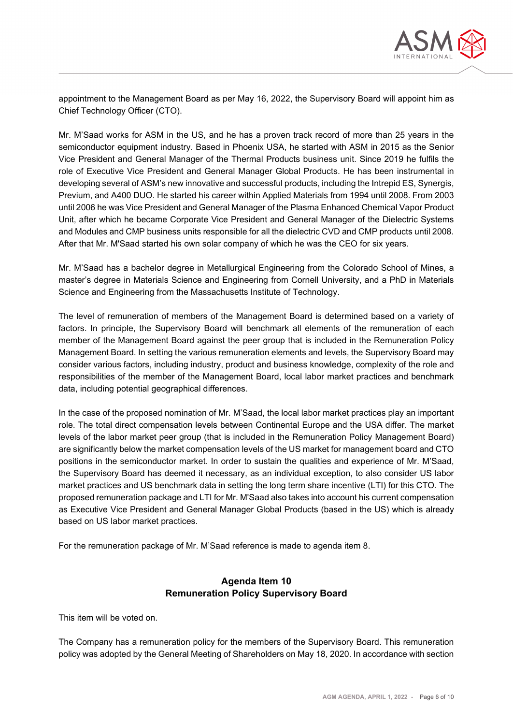

appointment to the Management Board as per May 16, 2022, the Supervisory Board will appoint him as Chief Technology Officer (CTO).

Mr. M'Saad works for ASM in the US, and he has a proven track record of more than 25 years in the semiconductor equipment industry. Based in Phoenix USA, he started with ASM in 2015 as the Senior Vice President and General Manager of the Thermal Products business unit. Since 2019 he fulfils the role of Executive Vice President and General Manager Global Products. He has been instrumental in developing several of ASM's new innovative and successful products, including the Intrepid ES, Synergis, Previum, and A400 DUO. He started his career within Applied Materials from 1994 until 2008. From 2003 until 2006 he was Vice President and General Manager of the Plasma Enhanced Chemical Vapor Product Unit, after which he became Corporate Vice President and General Manager of the Dielectric Systems and Modules and CMP business units responsible for all the dielectric CVD and CMP products until 2008. After that Mr. M'Saad started his own solar company of which he was the CEO for six years.

Mr. M'Saad has a bachelor degree in Metallurgical Engineering from the Colorado School of Mines, a master's degree in Materials Science and Engineering from Cornell University, and a PhD in Materials Science and Engineering from the Massachusetts Institute of Technology.

The level of remuneration of members of the Management Board is determined based on a variety of factors. In principle, the Supervisory Board will benchmark all elements of the remuneration of each member of the Management Board against the peer group that is included in the Remuneration Policy Management Board. In setting the various remuneration elements and levels, the Supervisory Board may consider various factors, including industry, product and business knowledge, complexity of the role and responsibilities of the member of the Management Board, local labor market practices and benchmark data, including potential geographical differences.

In the case of the proposed nomination of Mr. M'Saad, the local labor market practices play an important role. The total direct compensation levels between Continental Europe and the USA differ. The market levels of the labor market peer group (that is included in the Remuneration Policy Management Board) are significantly below the market compensation levels of the US market for management board and CTO positions in the semiconductor market. In order to sustain the qualities and experience of Mr. M'Saad, the Supervisory Board has deemed it necessary, as an individual exception, to also consider US labor market practices and US benchmark data in setting the long term share incentive (LTI) for this CTO. The proposed remuneration package and LTI for Mr. M'Saad also takes into account his current compensation as Executive Vice President and General Manager Global Products (based in the US) which is already based on US labor market practices.

For the remuneration package of Mr. M'Saad reference is made to agenda item 8.

## **Agenda Item 10 Remuneration Policy Supervisory Board**

This item will be voted on.

The Company has a remuneration policy for the members of the Supervisory Board. This remuneration policy was adopted by the General Meeting of Shareholders on May 18, 2020. In accordance with section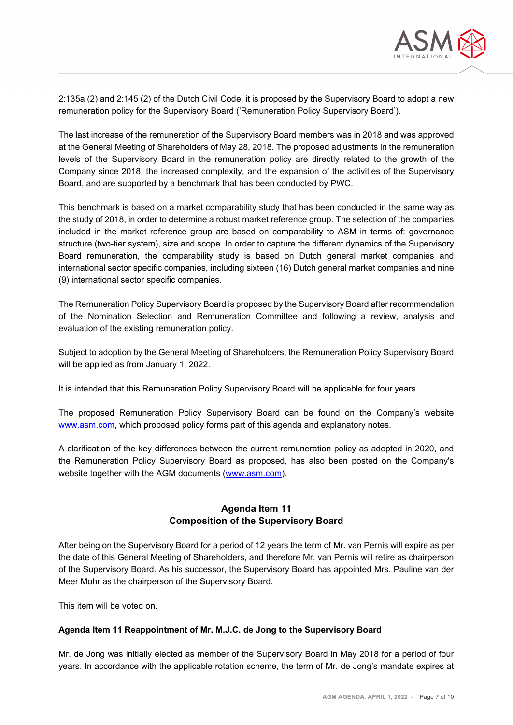

2:135a (2) and 2:145 (2) of the Dutch Civil Code, it is proposed by the Supervisory Board to adopt a new remuneration policy for the Supervisory Board ('Remuneration Policy Supervisory Board').

The last increase of the remuneration of the Supervisory Board members was in 2018 and was approved at the General Meeting of Shareholders of May 28, 2018. The proposed adjustments in the remuneration levels of the Supervisory Board in the remuneration policy are directly related to the growth of the Company since 2018, the increased complexity, and the expansion of the activities of the Supervisory Board, and are supported by a benchmark that has been conducted by PWC.

This benchmark is based on a market comparability study that has been conducted in the same way as the study of 2018, in order to determine a robust market reference group. The selection of the companies included in the market reference group are based on comparability to ASM in terms of: governance structure (two-tier system), size and scope. In order to capture the different dynamics of the Supervisory Board remuneration, the comparability study is based on Dutch general market companies and international sector specific companies, including sixteen (16) Dutch general market companies and nine (9) international sector specific companies.

The Remuneration Policy Supervisory Board is proposed by the Supervisory Board after recommendation of the Nomination Selection and Remuneration Committee and following a review, analysis and evaluation of the existing remuneration policy.

Subject to adoption by the General Meeting of Shareholders, the Remuneration Policy Supervisory Board will be applied as from January 1, 2022.

It is intended that this Remuneration Policy Supervisory Board will be applicable for four years.

The proposed Remuneration Policy Supervisory Board can be found on the Company's website [www.asm.com,](http://www.asm.com/) which proposed policy forms part of this agenda and explanatory notes.

A clarification of the key differences between the current remuneration policy as adopted in 2020, and the Remuneration Policy Supervisory Board as proposed, has also been posted on the Company's website together with the AGM documents [\(www.asm.com\)](http://www.asm.com/).

## **Agenda Item 11 Composition of the Supervisory Board**

After being on the Supervisory Board for a period of 12 years the term of Mr. van Pernis will expire as per the date of this General Meeting of Shareholders, and therefore Mr. van Pernis will retire as chairperson of the Supervisory Board. As his successor, the Supervisory Board has appointed Mrs. Pauline van der Meer Mohr as the chairperson of the Supervisory Board.

This item will be voted on.

## **Agenda Item 11 Reappointment of Mr. M.J.C. de Jong to the Supervisory Board**

Mr. de Jong was initially elected as member of the Supervisory Board in May 2018 for a period of four years. In accordance with the applicable rotation scheme, the term of Mr. de Jong's mandate expires at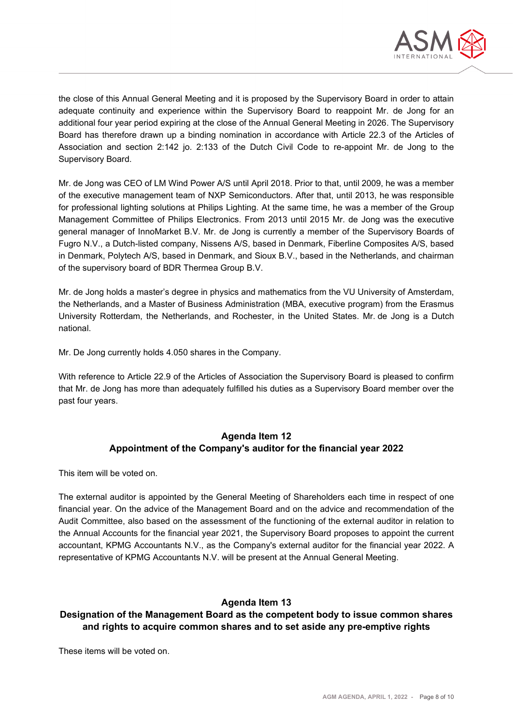

the close of this Annual General Meeting and it is proposed by the Supervisory Board in order to attain adequate continuity and experience within the Supervisory Board to reappoint Mr. de Jong for an additional four year period expiring at the close of the Annual General Meeting in 2026. The Supervisory Board has therefore drawn up a binding nomination in accordance with Article 22.3 of the Articles of Association and section 2:142 jo. 2:133 of the Dutch Civil Code to re-appoint Mr. de Jong to the Supervisory Board.

Mr. de Jong was CEO of LM Wind Power A/S until April 2018. Prior to that, until 2009, he was a member of the executive management team of NXP Semiconductors. After that, until 2013, he was responsible for professional lighting solutions at Philips Lighting. At the same time, he was a member of the Group Management Committee of Philips Electronics. From 2013 until 2015 Mr. de Jong was the executive general manager of InnoMarket B.V. Mr. de Jong is currently a member of the Supervisory Boards of Fugro N.V., a Dutch-listed company, Nissens A/S, based in Denmark, Fiberline Composites A/S, based in Denmark, Polytech A/S, based in Denmark, and Sioux B.V., based in the Netherlands, and chairman of the supervisory board of BDR Thermea Group B.V.

Mr. de Jong holds a master's degree in physics and mathematics from the VU University of Amsterdam, the Netherlands, and a Master of Business Administration (MBA, executive program) from the Erasmus University Rotterdam, the Netherlands, and Rochester, in the United States. Mr. de Jong is a Dutch national.

Mr. De Jong currently holds 4.050 shares in the Company.

With reference to Article 22.9 of the Articles of Association the Supervisory Board is pleased to confirm that Mr. de Jong has more than adequately fulfilled his duties as a Supervisory Board member over the past four years.

# **Agenda Item 12 Appointment of the Company's auditor for the financial year 2022**

This item will be voted on.

The external auditor is appointed by the General Meeting of Shareholders each time in respect of one financial year. On the advice of the Management Board and on the advice and recommendation of the Audit Committee, also based on the assessment of the functioning of the external auditor in relation to the Annual Accounts for the financial year 2021, the Supervisory Board proposes to appoint the current accountant, KPMG Accountants N.V., as the Company's external auditor for the financial year 2022. A representative of KPMG Accountants N.V. will be present at the Annual General Meeting.

# **Agenda Item 13**

# **Designation of the Management Board as the competent body to issue common shares and rights to acquire common shares and to set aside any pre-emptive rights**

These items will be voted on.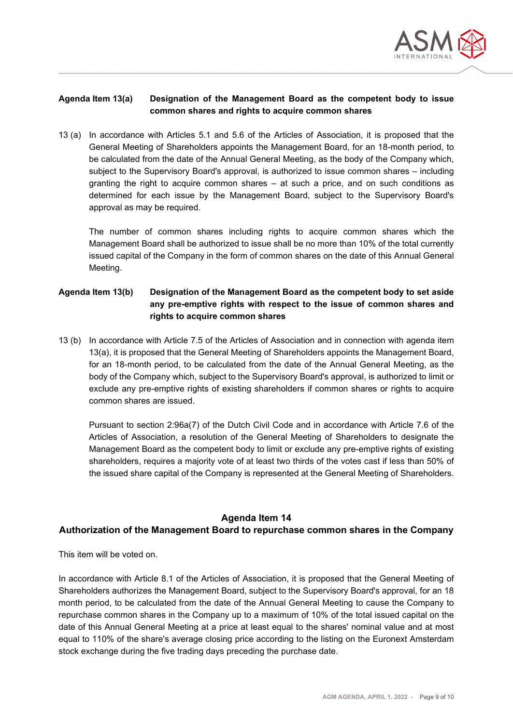

#### **Agenda Item 13(a) Designation of the Management Board as the competent body to issue common shares and rights to acquire common shares**

13 (a) In accordance with Articles 5.1 and 5.6 of the Articles of Association, it is proposed that the General Meeting of Shareholders appoints the Management Board, for an 18-month period, to be calculated from the date of the Annual General Meeting, as the body of the Company which, subject to the Supervisory Board's approval, is authorized to issue common shares – including granting the right to acquire common shares – at such a price, and on such conditions as determined for each issue by the Management Board, subject to the Supervisory Board's approval as may be required.

The number of common shares including rights to acquire common shares which the Management Board shall be authorized to issue shall be no more than 10% of the total currently issued capital of the Company in the form of common shares on the date of this Annual General Meeting.

## **Agenda Item 13(b) Designation of the Management Board as the competent body to set aside any pre-emptive rights with respect to the issue of common shares and rights to acquire common shares**

13 (b) In accordance with Article 7.5 of the Articles of Association and in connection with agenda item 13(a), it is proposed that the General Meeting of Shareholders appoints the Management Board, for an 18-month period, to be calculated from the date of the Annual General Meeting, as the body of the Company which, subject to the Supervisory Board's approval, is authorized to limit or exclude any pre-emptive rights of existing shareholders if common shares or rights to acquire common shares are issued.

Pursuant to section 2:96a(7) of the Dutch Civil Code and in accordance with Article 7.6 of the Articles of Association, a resolution of the General Meeting of Shareholders to designate the Management Board as the competent body to limit or exclude any pre-emptive rights of existing shareholders, requires a majority vote of at least two thirds of the votes cast if less than 50% of the issued share capital of the Company is represented at the General Meeting of Shareholders.

## **Agenda Item 14**

# **Authorization of the Management Board to repurchase common shares in the Company**

This item will be voted on.

In accordance with Article 8.1 of the Articles of Association, it is proposed that the General Meeting of Shareholders authorizes the Management Board, subject to the Supervisory Board's approval, for an 18 month period, to be calculated from the date of the Annual General Meeting to cause the Company to repurchase common shares in the Company up to a maximum of 10% of the total issued capital on the date of this Annual General Meeting at a price at least equal to the shares' nominal value and at most equal to 110% of the share's average closing price according to the listing on the Euronext Amsterdam stock exchange during the five trading days preceding the purchase date.